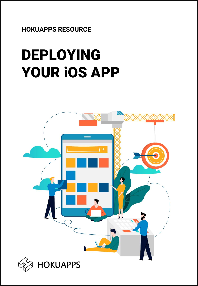**HOKUAPPS RESOURCE**

# DEPLOYING YOUR iOS APP

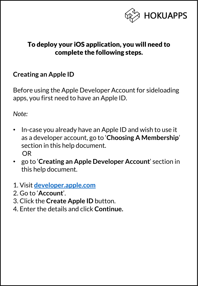

## To deploy your iOS application, you will need to complete the following steps.

## **Creating an Apple ID**

Before using the Apple Developer Account for sideloading apps, you first need to have an Apple ID.

*Note:*

- In-case you already have an Apple ID and wish to use it as a developer account, go to '**Choosing A Membership**' section in this help document. OR
- go to '**Creating an Apple Developer Account**' section in this help document.
- 1. Visit **<developer.apple.com>**
- 2. Go to '**Account**'.
- 3. Click the **Create Apple ID** button.
- 4. Enter the details and click **Continue.**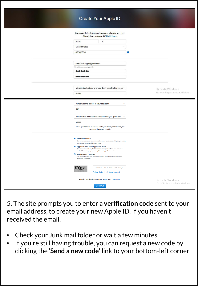## **Create Your Apple ID**

| One Apple ID is all you need to access all Apple services.<br>Already have an Apple ID? Find it here<br>P<br>Anuja<br><b>United States</b><br>09/16/1990                                                                                                                                                                                                                                                                              | a                                                       |
|---------------------------------------------------------------------------------------------------------------------------------------------------------------------------------------------------------------------------------------------------------------------------------------------------------------------------------------------------------------------------------------------------------------------------------------|---------------------------------------------------------|
| anuja.hokuapps@gmail.com<br>This will be your new Apple ID.<br>00000000<br>                                                                                                                                                                                                                                                                                                                                                           |                                                         |
| What is the first name of your best friend in high scho v<br>Ankita                                                                                                                                                                                                                                                                                                                                                                   | Activate Windows<br>Go to Settings to activate Windows. |
| What was the model of your first car?<br>Zen<br>What is the name of the street where you grew up?<br>Vasco<br>These questions will be used to verify your identity and recover your<br>password if you ever forget it.                                                                                                                                                                                                                |                                                         |
| Announcements<br>Get announcements, recommendations, and updates about Apple products,<br>services, software updates, and more.<br>Apple Music, New Apps and More<br>Get recommendations, the latest releases, special offers, and exclusive<br>content for music, apps, movies, TV, books, podcasts and more.<br>Apple News Updates<br>Get the best stories and recommendations from Apple News delivered<br>directly to your inbox. |                                                         |
| Type the characters in the image<br>C New Code<br>(vision Impaired                                                                                                                                                                                                                                                                                                                                                                    |                                                         |
| Apple is committed to protecting your privacy. Learn more<br>Continue                                                                                                                                                                                                                                                                                                                                                                 | Activate Windows<br>Go to Settings to activate Windows. |

5. The site prompts you to enter a **verification code** sent to your email address, to create your new Apple ID. If you haven't received the email,

- Check your Junk mail folder or wait a few minutes.
- If you're still having trouble, you can request a new code by clicking the '**Send a new code**' link to your bottom-left corner.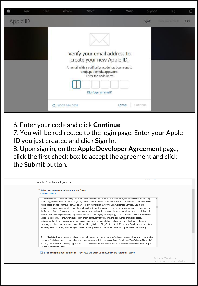| ú | Mac      | iPad | iPhone.           | Watch                                                                                                                                                                | TV. | Music  | Support  | Q                    |     |
|---|----------|------|-------------------|----------------------------------------------------------------------------------------------------------------------------------------------------------------------|-----|--------|----------|----------------------|-----|
|   | Apple ID |      |                   |                                                                                                                                                                      |     |        | Sign In  | Creves Your Acole ID | FAQ |
|   |          |      |                   |                                                                                                                                                                      |     |        |          |                      |     |
|   |          |      |                   | Verify your email address to<br>create your new Apple ID.<br>An email with a verification code has been sent to<br>anuja.patil@hokuapps.com.<br>Enter the code here: |     |        |          |                      |     |
|   |          |      |                   | Didn't get an email?                                                                                                                                                 |     |        |          |                      |     |
|   |          |      | C Send a new code |                                                                                                                                                                      |     | Cancel | Continue |                      |     |

6. Enter your code and click **Continue***.*

7. You will be redirected to the login page. Enter your Apple ID you just created and click **Sign In***.*

8. Upon sign in, on the **Apple Developer Agreement** page, click the first check box to accept the agreement and click the **Submit** button.

| Anuia P<br>Sian Out<br>Apple Developer Agreement                                                                                                                                                                                                                                                                                                                                                                                                                                                                                                                                                                                                                                                                                                                                                                                                                                                                                                                                                                                                                                                                                                                                                                                                                                                              |  |
|---------------------------------------------------------------------------------------------------------------------------------------------------------------------------------------------------------------------------------------------------------------------------------------------------------------------------------------------------------------------------------------------------------------------------------------------------------------------------------------------------------------------------------------------------------------------------------------------------------------------------------------------------------------------------------------------------------------------------------------------------------------------------------------------------------------------------------------------------------------------------------------------------------------------------------------------------------------------------------------------------------------------------------------------------------------------------------------------------------------------------------------------------------------------------------------------------------------------------------------------------------------------------------------------------------------|--|
| This is a legal agreement between you and Apple.<br><b>Download PDF</b>                                                                                                                                                                                                                                                                                                                                                                                                                                                                                                                                                                                                                                                                                                                                                                                                                                                                                                                                                                                                                                                                                                                                                                                                                                       |  |
| contained therein. Unless expressly permitted herein or otherwise permitted in a separate agreement with Apple, you may<br>not modify, publish, network, rent, lease, loan, transmit, sell, participate in the transfer or sale of, reproduce, create derivative<br>works based on, redistribute, perform, display, or in any way exploit any of the Site, Content or Services. You may not<br>decompile, reverse engineer, disassemble, or attempt to derive the source code of any software or security components of<br>the Services. Site, or Content (except as and only to the extent any foregoing restriction is prohibited by applicable law or to<br>the extent as may be permitted by any licensing terms accompanying the foregoing). Use of the Site, Content or Services to<br>violate, tamper with, or circumvent the security of any computer network, software, passwords, encryption codes,<br>technological protection measures, or to otherwise engage in any kind of illegal activity, or to enable others to do so, is<br>expressly prohibited. Apple retains ownership of all its rights in the Site, Content, Apple Events and Services, and except as<br>expressly set forth herein, no other rights or licenses are granted or to be implied under any Apple intellectual property. |  |
| Confidentiality. Except as otherwise set forth herein, you agree that any Apple pre-release software, services, and/or<br>4.<br>hardware (including related documentation and materials) provided to you as an Apple Developer ("Pre-Release Materials")<br>and any information disclosed by Apple to you in connection with Apple Events will be considered and referred to as "Apple<br>Confidential Information"                                                                                                                                                                                                                                                                                                                                                                                                                                                                                                                                                                                                                                                                                                                                                                                                                                                                                           |  |
| $\triangleright$ By checking this box I confirm that I have read and agree to be bound by the Agreement above.                                                                                                                                                                                                                                                                                                                                                                                                                                                                                                                                                                                                                                                                                                                                                                                                                                                                                                                                                                                                                                                                                                                                                                                                |  |

Go to Settings to activate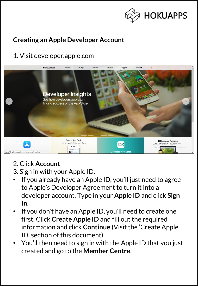

## **Creating an Apple Developer Account**

## 1. Visit developer.apple.com



## 2. Click **Account**

- 3. Sign in with your Apple ID.
- If you already have an Apple ID, you'll just need to agree to Apple's Developer Agreement to turn it into a developer account. Type in your **Apple ID** and click **Sign In**.
- If you don't have an Apple ID, you'll need to create one first. Click **Create Apple ID** and fill out the required information and click **Continue** (Visit the 'Create Apple ID' section of this document).
- You'll then need to sign in with the Apple ID that you just created and go to the **Member Centre**.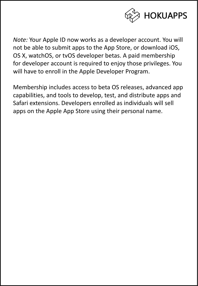

*Note:* Your Apple ID now works as a developer account. You will not be able to submit apps to the App Store, or download iOS, OS X, watchOS, or tvOS developer betas. A paid membership for developer account is required to enjoy those privileges. You will have to enroll in the Apple Developer Program.

Membership includes access to beta OS releases, advanced app capabilities, and tools to develop, test, and distribute apps and Safari extensions. Developers enrolled as individuals will sell apps on the Apple App Store using their personal name.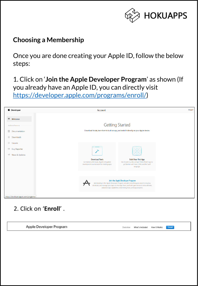

## **Choosing a Membership**

Once you are done creating your Apple ID, follow the below steps:

1. Click on '**Join the Apple Developer Program**' as shown (If you already have an Apple ID, you can directly visit <https://developer.apple.com/programs/enroll/>)



## 2. Click on '**Enroll**' .

Apple Developer Program

Enroll Overview What's Included How It Works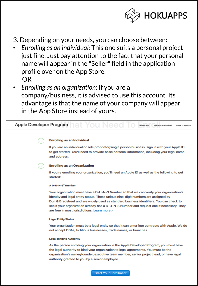

- 3. Depending on your needs, you can choose between:
- *Enrolling as an individual:* This one suits a personal project just fine. Just pay attention to the fact that your personal name will appear in the "Seller" field in the application profile over on the App Store. OR
- *Enrolling as an organization:* If you are a company/business, it is advised to use this account. Its advantage is that the name of your company will appear in the App Store instead of yours.

### Apple Developer Program Overview What's Included **How It Works Enrolling as an Individual** If you are an individual or sole proprietor/single person business, sign in with your Apple ID to get started. You'll need to provide basic personal information, including your legal name and address. **Enrolling as an Organization** If you're enrolling your organization, you'll need an Apple ID as well as the following to get started: **A D-U-N-S<sup>\*</sup> Number** Your organization must have a D-U-N-S Number so that we can verify your organization's identity and legal entity status. These unique nine-digit numbers are assigned by Dun & Bradstreet and are widely used as standard business identifiers. You can check to see if your organization already has a D-U-N-S Number and request one if necessary. They are free in most jurisdictions. Learn more > **Legal Entity Status** Your organization must be a legal entity so that it can enter into contracts with Apple. We do not accept DBAs, fictitious businesses, trade names, or branches. **Legal Binding Authority** As the person enrolling your organization in the Apple Developer Program, you must have the legal authority to bind your organization to legal agreements. You must be the organization's owner/founder, executive team member, senior project lead, or have legal authority granted to you by a senior employee.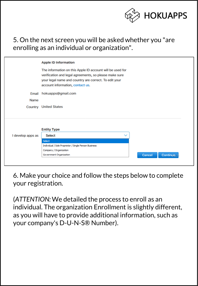

## 5. On the next screen you will be asked whether you "are enrolling as an individual or organization".

|                   | <b>Apple ID Information</b>                                                                                                                                                                                      |  |
|-------------------|------------------------------------------------------------------------------------------------------------------------------------------------------------------------------------------------------------------|--|
|                   | The information on this Apple ID account will be used for<br>verification and legal agreements, so please make sure<br>your legal name and country are correct. To edit your<br>account information, contact us. |  |
| Email             | hokuapps@gmail.com                                                                                                                                                                                               |  |
| <b>Name</b>       |                                                                                                                                                                                                                  |  |
|                   | <b>Country</b> United States                                                                                                                                                                                     |  |
|                   |                                                                                                                                                                                                                  |  |
|                   |                                                                                                                                                                                                                  |  |
|                   | <b>Entity Type</b>                                                                                                                                                                                               |  |
| I develop apps as | <b>Select</b><br>$\checkmark$                                                                                                                                                                                    |  |
|                   | Select                                                                                                                                                                                                           |  |
|                   | Individual / Sole Proprietor / Single Person Business                                                                                                                                                            |  |
|                   | Company / Organization                                                                                                                                                                                           |  |

6. Make your choice and follow the steps below to complete your registration.

(*ATTENTION:* We detailed the process to enroll as an individual. The organization Enrollment is slightly different, as you will have to provide additional information, such as your company's D-U-N-S® Number).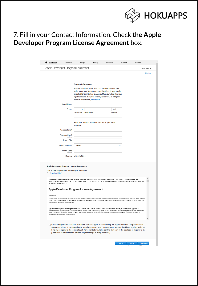

## 7. Fill in your Contact Information. Check **the Apple Developer Program License Agreement** box.

| <b>C</b> Developer                                                                                                          | <b>Discover</b>                                                                                                            | Design                                                                                                          | Develop             | Distribute                                                                                                                                                                                                                                                                                                                                                                                                                                                                                                                                                                                                                                       | Support | Account          | $\alpha$ |
|-----------------------------------------------------------------------------------------------------------------------------|----------------------------------------------------------------------------------------------------------------------------|-----------------------------------------------------------------------------------------------------------------|---------------------|--------------------------------------------------------------------------------------------------------------------------------------------------------------------------------------------------------------------------------------------------------------------------------------------------------------------------------------------------------------------------------------------------------------------------------------------------------------------------------------------------------------------------------------------------------------------------------------------------------------------------------------------------|---------|------------------|----------|
| Apple Developer Program Enrollment                                                                                          |                                                                                                                            |                                                                                                                 |                     |                                                                                                                                                                                                                                                                                                                                                                                                                                                                                                                                                                                                                                                  |         | Your Information |          |
|                                                                                                                             | <b>Legal Name</b>                                                                                                          | <b>Contact Information</b><br>account information, contact us.                                                  |                     | The name on this Apple ID account will be used as your<br>seller name, and for contracts and banking, if your app is<br>selected for distribution by Apple. Make sure that it is your<br>legal name and that your country is correct. To edit your                                                                                                                                                                                                                                                                                                                                                                                               |         |                  | Sign Out |
|                                                                                                                             | Phone                                                                                                                      |                                                                                                                 |                     | ext                                                                                                                                                                                                                                                                                                                                                                                                                                                                                                                                                                                                                                              |         |                  |          |
|                                                                                                                             |                                                                                                                            | <b>Country Code</b>                                                                                             | <b>Phone Number</b> | <b>Extension</b>                                                                                                                                                                                                                                                                                                                                                                                                                                                                                                                                                                                                                                 |         |                  |          |
|                                                                                                                             | <b>Address Line 1</b><br><b>Address Line 2</b><br>Town / City<br><b>State / Province</b><br><b>Postal Code</b><br>ontional | Enter your home or business address in your local<br>language.<br><b>Select</b><br><b>Country</b> United States |                     |                                                                                                                                                                                                                                                                                                                                                                                                                                                                                                                                                                                                                                                  |         |                  |          |
| <b>Apple Developer Program License Agreement</b><br>This is a legal agreement between you and Apple.<br><b>Download PDF</b> |                                                                                                                            |                                                                                                                 |                     |                                                                                                                                                                                                                                                                                                                                                                                                                                                                                                                                                                                                                                                  |         |                  |          |
| BETWEEN YOU AND APPLE.<br>Purpose                                                                                           |                                                                                                                            | Apple Developer Program License Agreement                                                                       |                     | PLEASE READ THE FOLLOWING APPLE DEVELOPER PROGRAM LICEN SE AGREEMENT TERMS AND CONDITIONS CAREFULLY BEFORE<br>DOWNLOADING OR USING THE APPLE SOFTWARE OR APPLE SERVICES. THESE TERMS AND CONDITIONS CONSTITUTE A LEGAL AGREEMENT<br>You would like to use the Apple Software (as defined below) to develop one or more Applications (as defined below) for Apple-branded products. Apple is willing                                                                                                                                                                                                                                              |         |                  |          |
| and conditions set forth in this Agreement.<br>separately distributed under this Agreement.                                 |                                                                                                                            |                                                                                                                 |                     | to grant You a limited license to use the Apple Software and Services provided to You under this Program to develop and test Your Applications on the terms<br>Applications developed under this Agreement for iOS Products, Apple Watch, or Apple TV can be distributed in four ways: (1) through the App Store, if<br>selected by Apple, (2) through the B2B Program area of the App Store, if selected by Apple, (3) on a limited basis for use on Registered Devices (as defined<br>below), and (4) for beta testing through TestFlight. Applications developed for macOS can be distributed through the App Store, if selected by Apple, or |         |                  |          |
|                                                                                                                             |                                                                                                                            | jurisdiction in which I reside (at least 18 years of age in many countries).                                    |                     | By checking this box I confirm that I have read and agree to be bound by the Apple Developer Program License<br>Agreement above. If I am agreeing on behalf of my company, I represent and warrant that I have legal authority to<br>bind my company to the terms of such Agreement above. I also confirm that I am of the legal age of majority in the                                                                                                                                                                                                                                                                                          |         |                  |          |

Cancel |

Back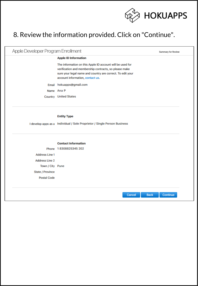

# 8. Review the information provided. Click on "Continue".

| Apple Developer Program Enrollment<br>Summary for Review |                                                                                                                                                                                                                      |          |  |  |
|----------------------------------------------------------|----------------------------------------------------------------------------------------------------------------------------------------------------------------------------------------------------------------------|----------|--|--|
|                                                          | <b>Apple ID Information</b>                                                                                                                                                                                          |          |  |  |
|                                                          | The information on this Apple ID account will be used for<br>verification and membership contracts, so please make<br>sure your legal name and country are correct. To edit your<br>account information, contact us. |          |  |  |
| Email                                                    | hokuapps@gmail.com                                                                                                                                                                                                   |          |  |  |
|                                                          | Name Ana P                                                                                                                                                                                                           |          |  |  |
|                                                          | <b>Country</b> United States                                                                                                                                                                                         |          |  |  |
|                                                          |                                                                                                                                                                                                                      |          |  |  |
|                                                          | <b>Entity Type</b>                                                                                                                                                                                                   |          |  |  |
|                                                          |                                                                                                                                                                                                                      |          |  |  |
|                                                          | I develop apps as a Individual / Sole Proprietor / Single Person Business                                                                                                                                            |          |  |  |
|                                                          |                                                                                                                                                                                                                      |          |  |  |
|                                                          | <b>Contact Information</b>                                                                                                                                                                                           |          |  |  |
|                                                          | Phone 18308825345 202                                                                                                                                                                                                |          |  |  |
| <b>Address Line 1</b>                                    |                                                                                                                                                                                                                      |          |  |  |
| <b>Address Line 2</b>                                    |                                                                                                                                                                                                                      |          |  |  |
| Town / City Pune                                         |                                                                                                                                                                                                                      |          |  |  |
| State / Province                                         |                                                                                                                                                                                                                      |          |  |  |
| <b>Postal Code</b>                                       |                                                                                                                                                                                                                      |          |  |  |
|                                                          |                                                                                                                                                                                                                      |          |  |  |
|                                                          | Cancel<br><b>Back</b>                                                                                                                                                                                                | Continue |  |  |
|                                                          |                                                                                                                                                                                                                      |          |  |  |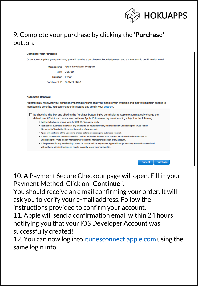

Cancel

Purchase

## 9. Complete your purchase by clicking the '**Purchase'**  button.

#### **Complete Your Purchase**

Once you complete your purchase, you will receive a purchase acknowledgement and a membership confirmation email.

Membership Apple Developer Program Cost US\$ 99 Duration 1 year Enrollment ID 73XM2E8K9A

#### **Automatic Renewal**

Automatically renewing your annual membership ensures that your apps remain available and that you maintain access to membership benefits. You can change this setting any time in your account.

□ By checking this box and clicking the Purchase button, I give permission to Apple to automatically charge the default credit/debit card associated with my Apple ID to renew my membership, subject to the following:

- . I will be billed on an annual basis for US\$ 99. Taxes may apply.
- . I can cancel automatic renewal at any time up to 24 hours before my renewal date by unchecking the "Auto-Renew Membership" box in the Membership section of my account.
- . Apple will notify me of the upcoming charge before processing my automatic renewal.
- . If Apple changes the membership price, I will be notified of the new price before I am charged and can opt-out by unchecking the "Auto-Renew Membership" box in the Membership section of my account.
- . If the payment for my membership cannot be transacted for any reason, Apple will not process my automatic renewal and will notify me with instructions on how to manually renew my membership.

10. A Payment Secure Checkout page will open. Fill in your Payment Method. Click on "**Continue**".

You should receive an e mail confirming your order. It will ask you to verify your e-mail address. Follow the instructions provided to confirm your account.

11. Apple will send a confirmation email within 24 hours notifying you that your iOS Developer Account was successfully created!

12. You can now log into *<itunesconnect.apple.com>* using the same login info.